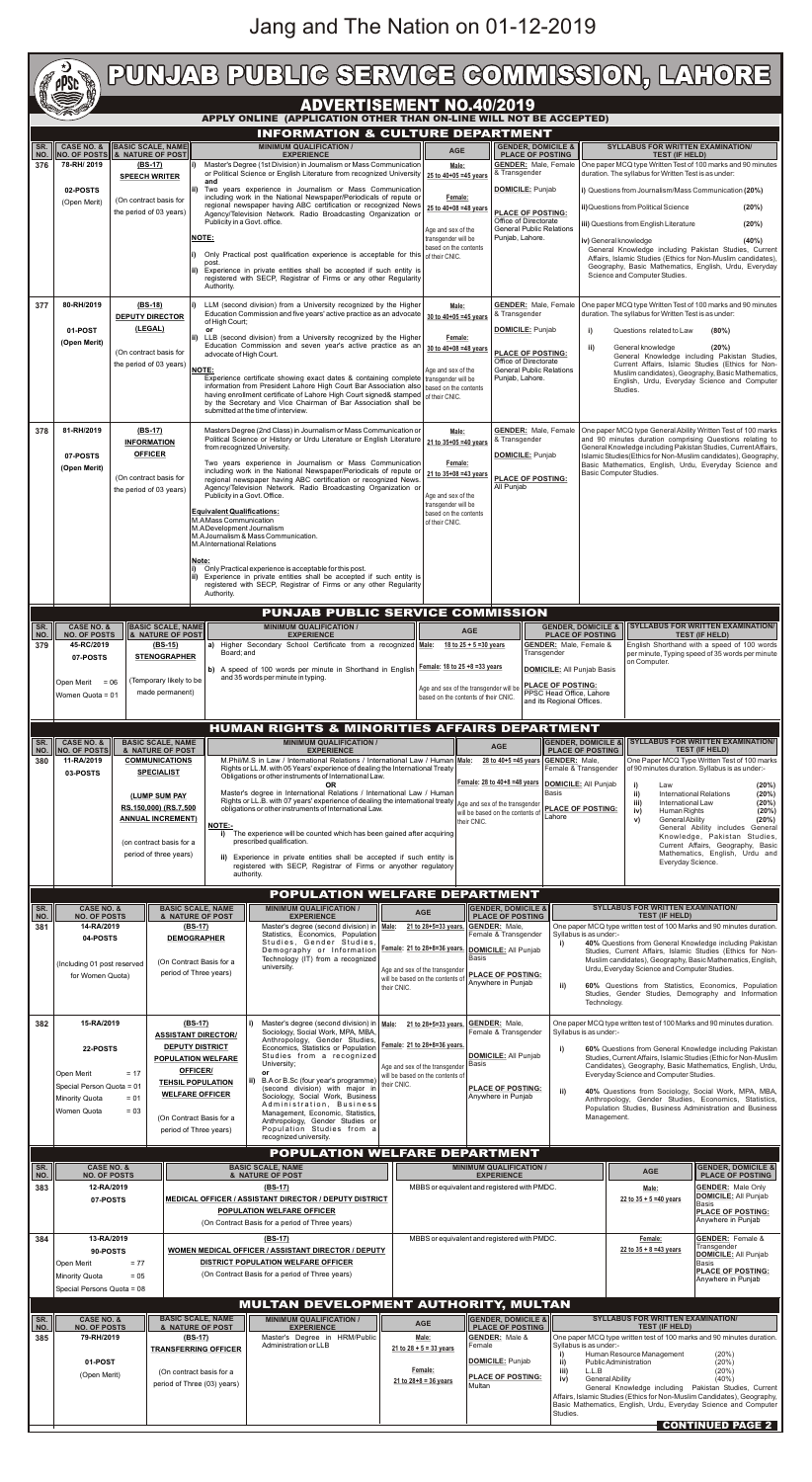# Jang and The Nation on 01-12-2019

|                                                                                                                                                                                                                                 | <b>CONTROLLER</b>                                                                                                                                                    |                                                                                                        |                                                                           |                                                                                                                                                                                                                                                                                                      | PUNJAB PUBLIG SERVIGE GOMMISSION, LAHORE<br><b>ADVERTISEMENT NO.40/2019</b>                                                                                                                                                                    |                                                                                                                   |                                                                                                                                                                     |                                                                                                                                                                                    |                                                                                                                                                                                  |                                                                                                                                                                                                                                                                                                                                                                   |                                                                                                                                                                                                                           |                                                                                                                                                                                                                                                                                                                        |                                                                                                                                                                                                                        |
|---------------------------------------------------------------------------------------------------------------------------------------------------------------------------------------------------------------------------------|----------------------------------------------------------------------------------------------------------------------------------------------------------------------|--------------------------------------------------------------------------------------------------------|---------------------------------------------------------------------------|------------------------------------------------------------------------------------------------------------------------------------------------------------------------------------------------------------------------------------------------------------------------------------------------------|------------------------------------------------------------------------------------------------------------------------------------------------------------------------------------------------------------------------------------------------|-------------------------------------------------------------------------------------------------------------------|---------------------------------------------------------------------------------------------------------------------------------------------------------------------|------------------------------------------------------------------------------------------------------------------------------------------------------------------------------------|----------------------------------------------------------------------------------------------------------------------------------------------------------------------------------|-------------------------------------------------------------------------------------------------------------------------------------------------------------------------------------------------------------------------------------------------------------------------------------------------------------------------------------------------------------------|---------------------------------------------------------------------------------------------------------------------------------------------------------------------------------------------------------------------------|------------------------------------------------------------------------------------------------------------------------------------------------------------------------------------------------------------------------------------------------------------------------------------------------------------------------|------------------------------------------------------------------------------------------------------------------------------------------------------------------------------------------------------------------------|
|                                                                                                                                                                                                                                 |                                                                                                                                                                      |                                                                                                        |                                                                           |                                                                                                                                                                                                                                                                                                      | APPLY ONLINE (APPLICATION OTHER THAN ON-LINE WILL NOT BE ACCEPTED)                                                                                                                                                                             |                                                                                                                   |                                                                                                                                                                     |                                                                                                                                                                                    |                                                                                                                                                                                  |                                                                                                                                                                                                                                                                                                                                                                   |                                                                                                                                                                                                                           |                                                                                                                                                                                                                                                                                                                        |                                                                                                                                                                                                                        |
|                                                                                                                                                                                                                                 |                                                                                                                                                                      |                                                                                                        |                                                                           |                                                                                                                                                                                                                                                                                                      | <b>INFORMATION &amp; CULTURE DEPARTMENT</b><br><b>MINIMUM QUALIFICATION /</b>                                                                                                                                                                  |                                                                                                                   |                                                                                                                                                                     |                                                                                                                                                                                    |                                                                                                                                                                                  |                                                                                                                                                                                                                                                                                                                                                                   |                                                                                                                                                                                                                           |                                                                                                                                                                                                                                                                                                                        |                                                                                                                                                                                                                        |
| NO.<br>376                                                                                                                                                                                                                      | <b>CASE NO. &amp;</b><br>SR.<br><b>NO. OF POSTS 6 &amp; NATURE OF POST</b><br>78-RH/2019                                                                             |                                                                                                        | <b>BASIC SCALE, NAME</b><br>$(BS-17)$<br><b>SPEECH WRITER</b>             | Master's Degree (1st Division) in Journalism or Mass Communication<br>or Political Science or English Literature from recognized University<br>and                                                                                                                                                   |                                                                                                                                                                                                                                                | <b>AGE</b><br>Male:<br>25 to 40+05 =45 years                                                                      |                                                                                                                                                                     | & Transgender                                                                                                                                                                      | <b>GENDER, DOMICILE &amp;</b><br><b>PLACE OF POSTING</b><br><b>GENDER: Male, Female</b>                                                                                          |                                                                                                                                                                                                                                                                                                                                                                   | <b>TEST (IF HELD)</b><br>duration. The syllabus for Written Test is as under:                                                                                                                                             | <b>SYLLABUS FOR WRITTEN EXAMINATION/</b><br>One paper MCQ type Written Test of 100 marks and 90 minutes                                                                                                                                                                                                                |                                                                                                                                                                                                                        |
|                                                                                                                                                                                                                                 | 02-POSTS<br>(Open Merit)                                                                                                                                             | (On contract basis for<br>the period of 03 years)                                                      |                                                                           | ii) Two years experience in Journalism or Mass Communication<br>including work in the National Newspaper/Periodicals of repute or<br>regional newspaper having ABC certification or recognized News<br>Agency/Television Network. Radio Broadcasting Organization or<br>Publicity in a Govt. office. |                                                                                                                                                                                                                                                |                                                                                                                   | Female:<br>25 to 40+08 = 48 years                                                                                                                                   |                                                                                                                                                                                    | <b>DOMICILE: Punjab</b><br><b>PLACE OF POSTING:</b><br>Office of Directorate                                                                                                     |                                                                                                                                                                                                                                                                                                                                                                   |                                                                                                                                                                                                                           | ii) Questions from Political Science                                                                                                                                                                                                                                                                                   | i) Questions from Journalism/Mass Communication (20%)<br>(20%)                                                                                                                                                         |
|                                                                                                                                                                                                                                 |                                                                                                                                                                      |                                                                                                        |                                                                           | NOTE:                                                                                                                                                                                                                                                                                                | Only Practical post qualification experience is acceptable for this $\int_{0}^{t}$ their CNIC.                                                                                                                                                 |                                                                                                                   | Age and sex of the<br>transgender will be<br>based on the contents                                                                                                  |                                                                                                                                                                                    | <b>General Public Relations</b><br>Punjab, Lahore.                                                                                                                               |                                                                                                                                                                                                                                                                                                                                                                   | (20%)<br>iii) Questions from English Literature<br>iv) General knowledge<br>(40%)<br>General Knowledge including Pakistan Studies, Current<br>Affairs, Islamic Studies (Ethics for Non-Muslim candidates),                |                                                                                                                                                                                                                                                                                                                        |                                                                                                                                                                                                                        |
|                                                                                                                                                                                                                                 |                                                                                                                                                                      |                                                                                                        |                                                                           | post.<br>Experience in private entities shall be accepted if such entity is<br>registered with SECP, Registrar of Firms or any other Regularity<br>Authority.                                                                                                                                        |                                                                                                                                                                                                                                                |                                                                                                                   |                                                                                                                                                                     |                                                                                                                                                                                    |                                                                                                                                                                                  |                                                                                                                                                                                                                                                                                                                                                                   | Geography, Basic Mathematics, English, Urdu, Everyday<br>Science and Computer Studies.                                                                                                                                    |                                                                                                                                                                                                                                                                                                                        |                                                                                                                                                                                                                        |
| 377                                                                                                                                                                                                                             | 80-RH/2019<br>01-POST                                                                                                                                                |                                                                                                        | $(BS-18)$<br><b>DEPUTY DIRECTOR</b><br>(LEGAL)                            | LLM (second division) from a University recognized by the Higher<br>of High Court;<br>or<br>LLB (second division) from a University recognized by the Higher                                                                                                                                         | Education Commission and five years' active practice as an advocate                                                                                                                                                                            | Male:<br>30 to $40+05 = 45$ years<br>Female:<br>30 to 40+08 =48 years<br>Age and sex of the                       |                                                                                                                                                                     | <b>GENDER: Male, Female</b><br>& Transgender<br><b>DOMICILE: Punjab</b><br><b>PLACE OF POSTING:</b><br>Office of Directorate<br><b>General Public Relations</b><br>Punjab, Lahore. |                                                                                                                                                                                  | One paper MCQ type Written Test of 100 marks and 90 minutes<br>duration. The syllabus for Written Test is as under:<br>i)<br>Questions related to Law<br>$(80\%)$<br>ii)<br>General knowledge<br>(20%)<br>General Knowledge including Pakistan Studies,<br>Current Affairs, Islamic Studies (Ethics for Non-<br>Muslim candidates), Geography, Basic Mathematics, |                                                                                                                                                                                                                           |                                                                                                                                                                                                                                                                                                                        |                                                                                                                                                                                                                        |
|                                                                                                                                                                                                                                 | (Open Merit)                                                                                                                                                         | (On contract basis for<br>the period of 03 years)                                                      |                                                                           | advocate of High Court.<br>NOTE:                                                                                                                                                                                                                                                                     | Education Commission and seven year's active practice as an<br>Experience certificate showing exact dates & containing complete   transgender will be                                                                                          |                                                                                                                   |                                                                                                                                                                     |                                                                                                                                                                                    |                                                                                                                                                                                  |                                                                                                                                                                                                                                                                                                                                                                   |                                                                                                                                                                                                                           |                                                                                                                                                                                                                                                                                                                        |                                                                                                                                                                                                                        |
|                                                                                                                                                                                                                                 |                                                                                                                                                                      |                                                                                                        |                                                                           | information from President Lahore High Court Bar Association also   based on the contents<br>having enrollment certificate of Lahore High Court signed& stamped of their CNIC.<br>by the Secretary and Vice Chairman of Bar Association shall be<br>submitted at the time of interview.              |                                                                                                                                                                                                                                                |                                                                                                                   |                                                                                                                                                                     |                                                                                                                                                                                    |                                                                                                                                                                                  |                                                                                                                                                                                                                                                                                                                                                                   | English, Urdu, Everyday Science and Computer<br>Studies.                                                                                                                                                                  |                                                                                                                                                                                                                                                                                                                        |                                                                                                                                                                                                                        |
| 378                                                                                                                                                                                                                             | 81-RH/2019<br>07-POSTS                                                                                                                                               | $(BS-17)$<br><b>INFORMATION</b><br><b>OFFICER</b><br>(On contract basis for<br>the period of 03 years) |                                                                           | Masters Degree (2nd Class) in Journalism or Mass Communication or<br>Political Science or History or Urdu Literature or English Literature   21 to 35+05 =40 years<br>from recognized University.<br>Two years experience in Journalism or Mass Communication                                        |                                                                                                                                                                                                                                                |                                                                                                                   | Male:<br>Female:<br>21 to 35+08 =43 years<br>Age and sex of the<br>transgender will be                                                                              |                                                                                                                                                                                    | <b>GENDER: Male, Female</b><br>& Transgender<br><b>DOMICILE:</b> Punjab<br><b>PLACE OF POSTING:</b><br>All Punjab                                                                |                                                                                                                                                                                                                                                                                                                                                                   |                                                                                                                                                                                                                           | One paper MCQ type General Ability Written Test of 100 marks<br>and 90 minutes duration comprising Questions relating to<br>General Knowledge including Pakistan Studies, Current Affairs,<br>Islamic Studies (Ethics for Non-Muslim candidates), Geography,<br>Basic Mathematics, English, Urdu, Everyday Science and |                                                                                                                                                                                                                        |
|                                                                                                                                                                                                                                 | (Open Merit)                                                                                                                                                         |                                                                                                        |                                                                           | including work in the National Newspaper/Periodicals of repute or<br>regional newspaper having ABC certification or recognized News.<br>Agency/Television Network. Radio Broadcasting Organization or<br>Publicity in a Govt. Office.                                                                | Basic Computer Studies.                                                                                                                                                                                                                        |                                                                                                                   |                                                                                                                                                                     |                                                                                                                                                                                    |                                                                                                                                                                                  |                                                                                                                                                                                                                                                                                                                                                                   |                                                                                                                                                                                                                           |                                                                                                                                                                                                                                                                                                                        |                                                                                                                                                                                                                        |
|                                                                                                                                                                                                                                 |                                                                                                                                                                      |                                                                                                        |                                                                           | <b>Equivalent Qualifications:</b><br>M.A Mass Communication<br>M.A Development Journalism<br>M.A International Relations                                                                                                                                                                             | M.A Journalism & Mass Communication.                                                                                                                                                                                                           |                                                                                                                   | based on the contents<br>of their CNIC.                                                                                                                             |                                                                                                                                                                                    |                                                                                                                                                                                  |                                                                                                                                                                                                                                                                                                                                                                   |                                                                                                                                                                                                                           |                                                                                                                                                                                                                                                                                                                        |                                                                                                                                                                                                                        |
|                                                                                                                                                                                                                                 |                                                                                                                                                                      |                                                                                                        |                                                                           | Note:                                                                                                                                                                                                                                                                                                | Only Practical experience is acceptable for this post.<br>ii) Experience in private entities shall be accepted if such entity is<br>registered with SECP, Registrar of Firms or any other Regularity                                           |                                                                                                                   |                                                                                                                                                                     |                                                                                                                                                                                    |                                                                                                                                                                                  |                                                                                                                                                                                                                                                                                                                                                                   |                                                                                                                                                                                                                           |                                                                                                                                                                                                                                                                                                                        |                                                                                                                                                                                                                        |
|                                                                                                                                                                                                                                 |                                                                                                                                                                      |                                                                                                        |                                                                           | Authority.                                                                                                                                                                                                                                                                                           |                                                                                                                                                                                                                                                |                                                                                                                   |                                                                                                                                                                     |                                                                                                                                                                                    |                                                                                                                                                                                  |                                                                                                                                                                                                                                                                                                                                                                   |                                                                                                                                                                                                                           |                                                                                                                                                                                                                                                                                                                        |                                                                                                                                                                                                                        |
| SR.<br>NO.<br>379                                                                                                                                                                                                               | <b>CASE NO. &amp;</b><br><b>NO. OF POSTS</b><br>45-RC/2019                                                                                                           |                                                                                                        | <b>BASIC SCALE, NAME</b><br><b>&amp; NATURE OF POST</b><br><u>(BS-15)</u> | PUNJAB PUBLIC SERVICE COMMISSION<br><b>MINIMUM QUALIFICATION /</b><br><b>EXPERIENCE</b><br>a) Higher Secondary School Certificate from a recognized Male: 18 to 25 + 5 = 30 years                                                                                                                    |                                                                                                                                                                                                                                                |                                                                                                                   | <b>AGE</b>                                                                                                                                                          |                                                                                                                                                                                    | <b>GENDER, DOMICILE &amp;</b><br><b>PLACE OF POSTING</b><br><b>GENDER:</b> Male, Female &                                                                                        |                                                                                                                                                                                                                                                                                                                                                                   |                                                                                                                                                                                                                           |                                                                                                                                                                                                                                                                                                                        | <b>SYLLABUS FOR WRITTEN EXAMINATION/</b><br><b>TEST (IF HELD)</b><br>English Shorthand with a speed of 100 words                                                                                                       |
|                                                                                                                                                                                                                                 | 07-POSTS                                                                                                                                                             |                                                                                                        | <b>STENOGRAPHER</b>                                                       | Board; and                                                                                                                                                                                                                                                                                           | b) A speed of 100 words per minute in Shorthand in English                                                                                                                                                                                     |                                                                                                                   | Female: 18 to 25 +8 = 33 years                                                                                                                                      |                                                                                                                                                                                    |                                                                                                                                                                                  | Transgender<br>per minute, Typing speed of 35 words per minute<br>on Computer.<br><b>DOMICILE: All Punjab Basis</b>                                                                                                                                                                                                                                               |                                                                                                                                                                                                                           |                                                                                                                                                                                                                                                                                                                        |                                                                                                                                                                                                                        |
| and 35 words per minute in typing.<br>(Temporary likely to be<br>Open Merit<br>$= 06$<br>made permanent)<br>Women Quota = 01                                                                                                    |                                                                                                                                                                      |                                                                                                        |                                                                           |                                                                                                                                                                                                                                                                                                      |                                                                                                                                                                                                                                                |                                                                                                                   | <b>PLACE OF POSTING:</b><br>Age and sex of the transgender will be<br>PPSC Head Office, Lahore<br>based on the contents of their CNIC.<br>and its Regional Offices. |                                                                                                                                                                                    |                                                                                                                                                                                  |                                                                                                                                                                                                                                                                                                                                                                   |                                                                                                                                                                                                                           |                                                                                                                                                                                                                                                                                                                        |                                                                                                                                                                                                                        |
| SR.                                                                                                                                                                                                                             |                                                                                                                                                                      |                                                                                                        |                                                                           |                                                                                                                                                                                                                                                                                                      | <b>HUMAN RIGHTS &amp; MINORITIES AFFAIRS DEPARTMENT</b>                                                                                                                                                                                        |                                                                                                                   |                                                                                                                                                                     |                                                                                                                                                                                    |                                                                                                                                                                                  | <b>GENDER, DOMICILE &amp;</b>                                                                                                                                                                                                                                                                                                                                     |                                                                                                                                                                                                                           |                                                                                                                                                                                                                                                                                                                        | <b>SYLLABUS FOR WRITTEN EXAMINATION/</b>                                                                                                                                                                               |
| NO.<br>380                                                                                                                                                                                                                      | <b>CASE NO. &amp;</b><br><b>BASIC SCALE, NAME</b><br><b>NO. OF POSTS</b><br>& NATURE OF POST<br>11-RA/2019<br><b>COMMUNICATIONS</b><br><b>SPECIALIST</b><br>03-POSTS |                                                                                                        |                                                                           | <b>MINIMUM QUALIFICATION /</b><br><b>EXPERIENCE</b><br>M.Phil/M.S in Law / International Relations / International Law / Human Male:<br>Rights or LL.M. with 05 Years' experience of dealing the International Treaty<br>Obligations or other instruments of International Law.                      |                                                                                                                                                                                                                                                |                                                                                                                   |                                                                                                                                                                     |                                                                                                                                                                                    | <b>AGE</b><br><b>PLACE OF POSTING</b><br><b>GENDER: Male,</b><br>28 to 40+5 =45 years<br>Female & Transgender                                                                    |                                                                                                                                                                                                                                                                                                                                                                   |                                                                                                                                                                                                                           |                                                                                                                                                                                                                                                                                                                        | <b>TEST (IF HELD)</b><br>One Paper MCQ Type Written Test of 100 marks<br>of 90 minutes duration. Syllabus is as under:-                                                                                                |
|                                                                                                                                                                                                                                 |                                                                                                                                                                      |                                                                                                        | (LUMP SUM PAY<br>RS.150,000) (RS.7,500<br><b>ANNUAL INCREMENT)</b>        |                                                                                                                                                                                                                                                                                                      | OR.<br>Master's degree in International Relations / International Law / Human<br>Rights or LL.B. with 07 years' experience of dealing the international treaty<br>obligations or other instruments of International Law.                       |                                                                                                                   | their CNIC.                                                                                                                                                         |                                                                                                                                                                                    | Female: 28 to 40+8 =48 years<br><b>DOMICILE:</b> All Punjab<br>Basis<br>Age and sex of the transgender<br><b>PLACE OF POSTING:</b><br>will be based on the contents of<br>Lahore |                                                                                                                                                                                                                                                                                                                                                                   |                                                                                                                                                                                                                           | i)<br>(20%)<br>Law<br>ii)<br>(20%)<br><b>International Relations</b><br>iii)<br>International Law<br>(20%)<br>iv)<br>Human Rights<br>(20%)<br>v)<br><b>General Ability</b><br>(20%)                                                                                                                                    |                                                                                                                                                                                                                        |
|                                                                                                                                                                                                                                 |                                                                                                                                                                      |                                                                                                        | <b>NOTE:-</b><br>i)<br>(on contract basis for a<br>period of three years) |                                                                                                                                                                                                                                                                                                      | The experience will be counted which has been gained after acquiring<br>prescribed qualification.<br>ii) Experience in private entities shall be accepted if such entity is<br>registered with SECP, Registrar of Firms or anyother regulatory |                                                                                                                   |                                                                                                                                                                     |                                                                                                                                                                                    |                                                                                                                                                                                  |                                                                                                                                                                                                                                                                                                                                                                   | General Ability includes General<br>Knowledge, Pakistan Studies,<br>Current Affairs, Geography, Basic<br>Mathematics, English, Urdu and<br>Everyday Science.                                                              |                                                                                                                                                                                                                                                                                                                        |                                                                                                                                                                                                                        |
|                                                                                                                                                                                                                                 | authority.<br>POPULATION WELFARE DEPARTMENT                                                                                                                          |                                                                                                        |                                                                           |                                                                                                                                                                                                                                                                                                      |                                                                                                                                                                                                                                                |                                                                                                                   |                                                                                                                                                                     |                                                                                                                                                                                    |                                                                                                                                                                                  |                                                                                                                                                                                                                                                                                                                                                                   |                                                                                                                                                                                                                           |                                                                                                                                                                                                                                                                                                                        |                                                                                                                                                                                                                        |
| SR.<br>NO.                                                                                                                                                                                                                      | <b>CASE NO. &amp;</b><br><b>NO. OF POSTS</b>                                                                                                                         |                                                                                                        |                                                                           | <b>BASIC SCALE, NAME</b><br>& NATURE OF POST                                                                                                                                                                                                                                                         | <b>MINIMUM QUALIFICATION /</b><br><b>EXPERIENCE</b>                                                                                                                                                                                            |                                                                                                                   | <b>AGE</b>                                                                                                                                                          |                                                                                                                                                                                    | <b>GENDER, DOMICILE &amp;</b><br><b>PLACE OF POSTING</b>                                                                                                                         |                                                                                                                                                                                                                                                                                                                                                                   |                                                                                                                                                                                                                           | <b>SYLLABUS FOR WRITTEN EXAMINATION/</b><br><b>TEST (IF HELD)</b>                                                                                                                                                                                                                                                      |                                                                                                                                                                                                                        |
| 381                                                                                                                                                                                                                             |                                                                                                                                                                      | 14-RA/2019<br>04-POSTS<br>(Including 01 post reserved<br>for Women Quota)                              |                                                                           | $(BS-17)$<br><b>DEMOGRAPHER</b>                                                                                                                                                                                                                                                                      | Master's degree (second division) in   Male:<br>Statistics, Economics, Population<br>Studies, Gender Studies,<br>Demography or Information                                                                                                     |                                                                                                                   | 21 to 28+5=33 years.<br>Female: 21 to 28+8=36 years.                                                                                                                |                                                                                                                                                                                    | <b>GENDER: Male.</b><br>Female & Transgender<br>i)<br><b>DOMICILE: All Puniab</b>                                                                                                |                                                                                                                                                                                                                                                                                                                                                                   | Syllabus is as under:-                                                                                                                                                                                                    | One paper MCQ type written test of 100 Marks and 90 minutes duration.<br>40% Questions from General Knowledge including Pakistan<br>Studies, Current Affairs, Islamic Studies (Ethics for Non-                                                                                                                         |                                                                                                                                                                                                                        |
|                                                                                                                                                                                                                                 |                                                                                                                                                                      |                                                                                                        |                                                                           | (On Contract Basis for a<br>period of Three years)                                                                                                                                                                                                                                                   | Technology (IT) from a recognized<br>university.                                                                                                                                                                                               | Basis<br>Age and sex of the transgender<br>will be based on the contents of<br>their CNIC.                        |                                                                                                                                                                     |                                                                                                                                                                                    | <b>PLACE OF POSTING:</b><br>Anvwhere in Puniab<br>ii)                                                                                                                            |                                                                                                                                                                                                                                                                                                                                                                   | Muslim candidates), Geography, Basic Mathematics, English,<br>Urdu, Everyday Science and Computer Studies.<br>60% Questions from Statistics, Economics, Population<br>Studies, Gender Studies, Demography and Information |                                                                                                                                                                                                                                                                                                                        |                                                                                                                                                                                                                        |
| 382                                                                                                                                                                                                                             | 15-RA/2019                                                                                                                                                           |                                                                                                        | (BS-17)<br><b>ASSISTANT DIRECTOR/</b>                                     |                                                                                                                                                                                                                                                                                                      | Master's degree (second division) in   Male:<br>Sociology, Social Work, MPA, MBA,<br>Anthropology, Gender Studies,                                                                                                                             |                                                                                                                   | 21 to 28+5=33 years.                                                                                                                                                |                                                                                                                                                                                    | <b>GENDER: Male,</b><br>Female & Transgender                                                                                                                                     | Syllabus is as under:-                                                                                                                                                                                                                                                                                                                                            | Technology.                                                                                                                                                                                                               |                                                                                                                                                                                                                                                                                                                        | One paper MCQ type written test of 100 Marks and 90 minutes duration.                                                                                                                                                  |
|                                                                                                                                                                                                                                 | 22-POSTS<br>Open Merit                                                                                                                                               | $= 17$                                                                                                 |                                                                           | <b>DEPUTY DISTRICT</b><br><b>POPULATION WELFARE</b><br><b>OFFICER/</b><br><b>TEHSIL POPULATION</b>                                                                                                                                                                                                   | Economics, Statistics or Population<br>Studies from a recognized<br>University;<br>or<br>B.A or B.Sc (four year's programme)<br>ii)                                                                                                            | Female: 21 to 28+8=36 years.<br>Age and sex of the transgender<br>will be based on the contents of<br>their CNIC. |                                                                                                                                                                     | Basis                                                                                                                                                                              | <b>DOMICILE: All Punjab</b>                                                                                                                                                      |                                                                                                                                                                                                                                                                                                                                                                   |                                                                                                                                                                                                                           | Everyday Science and Computer Studies.                                                                                                                                                                                                                                                                                 | 60% Questions from General Knowledge including Pakistan<br>Studies, Current Affairs, Islamic Studies (Ethic for Non-Muslim<br>Candidates), Geography, Basic Mathematics, English, Urdu,                                |
|                                                                                                                                                                                                                                 | Special Person Quota = 01<br>Minority Quota<br>$= 01$<br>Women Quota<br>$= 0.3$                                                                                      |                                                                                                        |                                                                           | <b>WELFARE OFFICER</b><br>(On Contract Basis for a<br>period of Three years)                                                                                                                                                                                                                         | (second division) with major in<br>Sociology, Social Work, Business<br>Administration, Business<br>Management, Economic, Statistics,<br>Anthropology, Gender Studies or<br>Population Studies from a<br>recognized university.                 |                                                                                                                   |                                                                                                                                                                     |                                                                                                                                                                                    | <b>PLACE OF POSTING:</b><br>Anywhere in Punjab                                                                                                                                   | ii)                                                                                                                                                                                                                                                                                                                                                               | 40% Questions from Sociology, Social Work, MPA, MBA,<br>Anthropology, Gender Studies, Economics, Statistics,<br>Population Studies, Business Administration and Business<br>Management.                                   |                                                                                                                                                                                                                                                                                                                        |                                                                                                                                                                                                                        |
| SR.<br>NO.                                                                                                                                                                                                                      | <b>CASE NO. &amp;</b>                                                                                                                                                |                                                                                                        |                                                                           |                                                                                                                                                                                                                                                                                                      | <b>POPULATION WELFARE DEPARTMENT</b><br><b>BASIC SCALE, NAME</b>                                                                                                                                                                               |                                                                                                                   |                                                                                                                                                                     |                                                                                                                                                                                    | <b>MINIMUM QUALIFICATION /</b><br><b>EXPERIENCE</b>                                                                                                                              |                                                                                                                                                                                                                                                                                                                                                                   |                                                                                                                                                                                                                           | <b>AGE</b>                                                                                                                                                                                                                                                                                                             | <b>GENDER, DOMICILE &amp;</b><br><b>PLACE OF POSTING</b>                                                                                                                                                               |
| 383                                                                                                                                                                                                                             |                                                                                                                                                                      | <b>NO. OF POSTS</b><br>12-RA/2019<br>07-POSTS                                                          |                                                                           |                                                                                                                                                                                                                                                                                                      | & NATURE OF POST<br>(BS-17)<br>MEDICAL OFFICER / ASSISTANT DIRECTOR / DEPUTY DISTRICT<br>POPULATION WELFARE OFFICER                                                                                                                            |                                                                                                                   |                                                                                                                                                                     | MBBS or equivalent and registered with PMDC.                                                                                                                                       |                                                                                                                                                                                  |                                                                                                                                                                                                                                                                                                                                                                   |                                                                                                                                                                                                                           | Male:<br>22 to $35 + 5 = 40$ years                                                                                                                                                                                                                                                                                     | <b>GENDER: Male Only</b><br><b>DOMICILE:</b> All Punjab<br><b>Basis</b><br><b>PLACE OF POSTING:</b><br>Anywhere in Punjab                                                                                              |
| 384                                                                                                                                                                                                                             |                                                                                                                                                                      | 13-RA/2019<br>90-POSTS                                                                                 |                                                                           |                                                                                                                                                                                                                                                                                                      | (On Contract Basis for a period of Three years)<br>$(BS-17)$<br><b>WOMEN MEDICAL OFFICER / ASSISTANT DIRECTOR / DEPUTY</b>                                                                                                                     |                                                                                                                   | MBBS or equivalent and registered with PMDC.                                                                                                                        |                                                                                                                                                                                    |                                                                                                                                                                                  |                                                                                                                                                                                                                                                                                                                                                                   |                                                                                                                                                                                                                           | Female:<br>22 to $35 + 8 = 43$ years                                                                                                                                                                                                                                                                                   | <b>GENDER:</b> Female &<br>Transgender<br><b>DOMICILE:</b> All Punjab                                                                                                                                                  |
| <b>DISTRICT POPULATION WELFARE OFFICER</b><br>$= 77$<br>Open Merit<br>(On Contract Basis for a period of Three years)<br>$= 0.5$<br>Minority Quota<br>Special Persons Quota = 08<br><b>MULTAN DEVELOPMENT AUTHORITY, MULTAN</b> |                                                                                                                                                                      |                                                                                                        |                                                                           |                                                                                                                                                                                                                                                                                                      |                                                                                                                                                                                                                                                |                                                                                                                   |                                                                                                                                                                     | Basis<br><b>PLACE OF POSTING:</b><br>Anywhere in Punjab                                                                                                                            |                                                                                                                                                                                  |                                                                                                                                                                                                                                                                                                                                                                   |                                                                                                                                                                                                                           |                                                                                                                                                                                                                                                                                                                        |                                                                                                                                                                                                                        |
| SR.<br>NO.                                                                                                                                                                                                                      | <b>CASE NO. &amp;</b><br><b>NO. OF POSTS</b>                                                                                                                         |                                                                                                        |                                                                           | <b>BASIC SCALE, NAME</b><br><b>MINIMUM QUALIFICATION /</b><br>& NATURE OF POST<br><b>EXPERIENCE</b>                                                                                                                                                                                                  |                                                                                                                                                                                                                                                |                                                                                                                   | <b>AGE</b>                                                                                                                                                          |                                                                                                                                                                                    | <b>GENDER, DOMICILE &amp;</b><br><b>PLACE OF POSTING</b>                                                                                                                         |                                                                                                                                                                                                                                                                                                                                                                   |                                                                                                                                                                                                                           | <b>SYLLABUS FOR WRITTEN EXAMINATION/</b><br><b>TEST (IF HELD)</b>                                                                                                                                                                                                                                                      |                                                                                                                                                                                                                        |
| 385                                                                                                                                                                                                                             | 79-RH/2019<br>01-POST<br>(Open Merit)                                                                                                                                |                                                                                                        |                                                                           | $(BS-17)$<br><b>TRANSFERRING OFFICER</b>                                                                                                                                                                                                                                                             | Master's Degree in HRM/Public<br>Administration or LLB                                                                                                                                                                                         |                                                                                                                   | Male:<br>21 to $28 + 5 = 33$ years                                                                                                                                  | Female                                                                                                                                                                             | <b>GENDER:</b> Male &<br><b>DOMICILE:</b> Punjab<br><b>PLACE OF POSTING:</b>                                                                                                     | Syllabus is as under:-<br>ii)                                                                                                                                                                                                                                                                                                                                     | Public Administration                                                                                                                                                                                                     | Human Resource Management                                                                                                                                                                                                                                                                                              | One paper MCQ type written test of 100 marks and 90 minutes duration.<br>(20%)<br>(20%)                                                                                                                                |
|                                                                                                                                                                                                                                 |                                                                                                                                                                      |                                                                                                        |                                                                           | (On contract basis for a<br>period of Three (03) years)                                                                                                                                                                                                                                              |                                                                                                                                                                                                                                                |                                                                                                                   | Female:<br>21 to $28 + 8 = 36$ years                                                                                                                                | Multan                                                                                                                                                                             |                                                                                                                                                                                  | iii)<br>iv)                                                                                                                                                                                                                                                                                                                                                       | L.L.B<br><b>General Ability</b>                                                                                                                                                                                           |                                                                                                                                                                                                                                                                                                                        | (20%)<br>(40%)<br>General Knowledge including  Pakistan Studies, Current<br>Affairs, Islamic Studies (Ethics for Non-Muslim Candidates), Geography,<br>Basic Mathematics, English, Urdu, Everyday Science and Computer |
|                                                                                                                                                                                                                                 |                                                                                                                                                                      |                                                                                                        |                                                                           |                                                                                                                                                                                                                                                                                                      |                                                                                                                                                                                                                                                |                                                                                                                   |                                                                                                                                                                     |                                                                                                                                                                                    |                                                                                                                                                                                  | Studies.                                                                                                                                                                                                                                                                                                                                                          |                                                                                                                                                                                                                           |                                                                                                                                                                                                                                                                                                                        | <b>CONTINUED PAGE 2</b>                                                                                                                                                                                                |